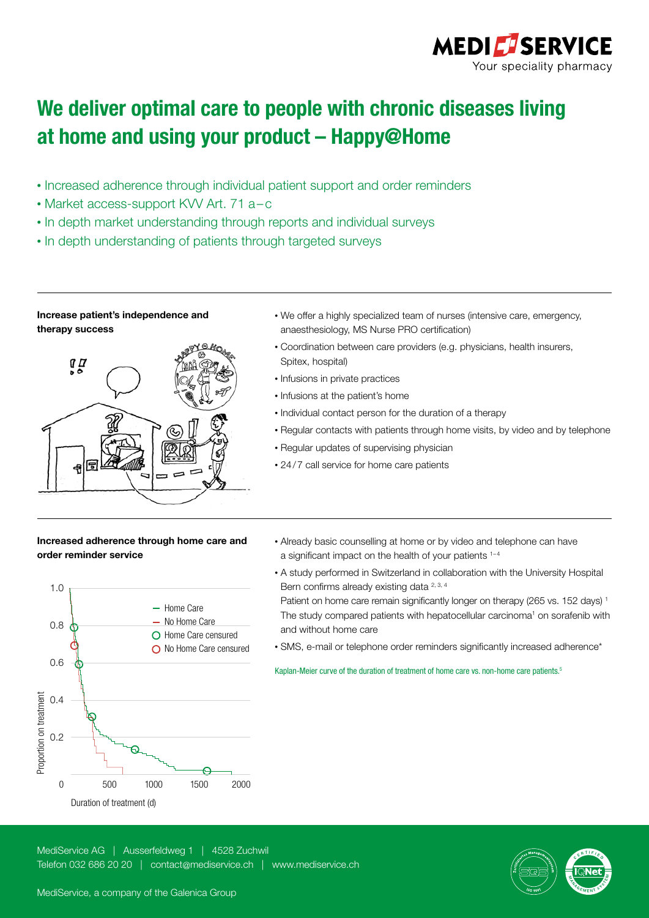

## We deliver optimal care to people with chronic diseases living at home and using your product – Happy@Home

- Increased adherence through individual patient support and order reminders
- Market access-support KVV Art. 71 a–c
- In depth market understanding through reports and individual surveys
- In depth understanding of patients through targeted surveys

## Increase patient's independence and therapy success



- We offer a highly specialized team of nurses (intensive care, emergency, anaesthesiology, MS Nurse PRO certification)
- Coordination between care providers (e.g. physicians, health insurers, Spitex, hospital)
- Infusions in private practices
- Infusions at the patient's home
- Individual contact person for the duration of a therapy
- Regular contacts with patients through home visits, by video and by telephone
- Regular updates of supervising physician
- 24/7 call service for home care patients

## Increased adherence through home care and order reminder service



- Already basic counselling at home or by video and telephone can have a significant impact on the health of your patients <sup>1-4</sup>
- A study performed in Switzerland in collaboration with the University Hospital Bern confirms already existing data <sup>2, 3, 4</sup> Patient on home care remain significantly longer on therapy (265 vs. 152 days)<sup>1</sup> The study compared patients with hepatocellular carcinoma<sup>1</sup> on sorafenib with and without home care
- SMS, e-mail or telephone order reminders significantly increased adherence\*

Kaplan-Meier curve of the duration of treatment of home care vs. non-home care patients.<sup>5</sup>

MediService AG | Ausserfeldweg 1 | 4528 Zuchwil Telefon 032 686 20 20 | contact@mediservice.ch | www.mediservice.ch